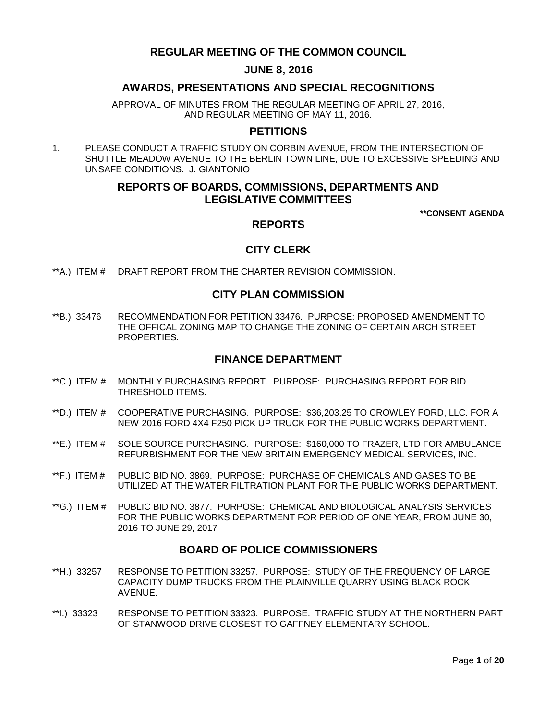# **REGULAR MEETING OF THE COMMON COUNCIL**

# **JUNE 8, 2016**

# **AWARDS, PRESENTATIONS AND SPECIAL RECOGNITIONS**

APPROVAL OF MINUTES FROM THE REGULAR MEETING OF APRIL 27, 2016, AND REGULAR MEETING OF MAY 11, 2016.

# **PETITIONS**

1. PLEASE CONDUCT A TRAFFIC STUDY ON CORBIN AVENUE, FROM THE INTERSECTION OF SHUTTLE MEADOW AVENUE TO THE BERLIN TOWN LINE, DUE TO EXCESSIVE SPEEDING AND UNSAFE CONDITIONS. J. GIANTONIO

# **REPORTS OF BOARDS, COMMISSIONS, DEPARTMENTS AND LEGISLATIVE COMMITTEES**

**\*\*CONSENT AGENDA**

# **REPORTS**

# **CITY CLERK**

\*\*A.) ITEM # [DRAFT REPORT FROM THE CHARTER REVISION COMMISSION.](#page-3-0)

# **CITY PLAN COMMISSION**

\*\*B.) 33476 [RECOMMENDATION FOR PETITION 33476. PURPOSE: PROPOSED AMENDMENT TO](#page-3-1)  [THE OFFICAL ZONING MAP TO CHANGE THE ZONING OF CERTAIN ARCH STREET](#page-3-1)  [PROPERTIES.](#page-3-1)

# **FINANCE DEPARTMENT**

- \*\*C.) ITEM # [MONTHLY PURCHASING REPORT. PURPOSE: PURCHASING REPORT FOR BID](#page-4-0)  [THRESHOLD ITEMS.](#page-4-0)
- \*\*D.) ITEM # [COOPERATIVE PURCHASING. PURPOSE: \\$36,203.25 TO CROWLEY FORD, LLC. FOR A](#page-5-0)  [NEW 2016 FORD 4X4 F250 PICK UP TRUCK FOR THE PUBLIC WORKS DEPARTMENT.](#page-5-0)
- \*\*E.) ITEM # [SOLE SOURCE PURCHASING. PURPOSE: \\$160,000 TO FRAZER, LTD FOR AMBULANCE](#page-5-1)  [REFURBISHMENT FOR THE NEW BRITAIN EMERGENCY MEDICAL SERVICES, INC.](#page-5-1)
- \*\*F.) ITEM # [PUBLIC BID NO. 3869. PURPOSE: PURCHASE OF CHEMICALS AND GASES TO BE](#page-6-0)  UTILIZED AT THE WATER [FILTRATION PLANT FOR THE PUBLIC WORKS DEPARTMENT.](#page-6-0)
- \*\*G.) ITEM # [PUBLIC BID NO. 3877. PURPOSE: CHEMICAL AND BIOLOGICAL ANALYSIS SERVICES](#page-7-0)  [FOR THE PUBLIC WORKS DEPARTMENT FOR PERIOD OF ONE YEAR, FROM JUNE 30,](#page-7-0)  [2016 TO JUNE 29, 2017](#page-7-0)

# **BOARD OF POLICE COMMISSIONERS**

- \*\*H.) 33257 [RESPONSE TO PETITION 33257. PURPOSE: STUDY OF THE FREQUENCY OF LARGE](#page-8-0)  [CAPACITY DUMP TRUCKS FROM THE PLAINVILLE QUARRY USING BLACK ROCK](#page-8-0)  [AVENUE.](#page-8-0)
- \*\*I.) 33323 [RESPONSE TO PETITION 33323. PURPOSE: TRAFFIC STUDY AT THE NORTHERN PART](#page-8-1)  [OF STANWOOD DRIVE CLOSEST TO GAFFNEY ELEMENTARY SCHOOL.](#page-8-1)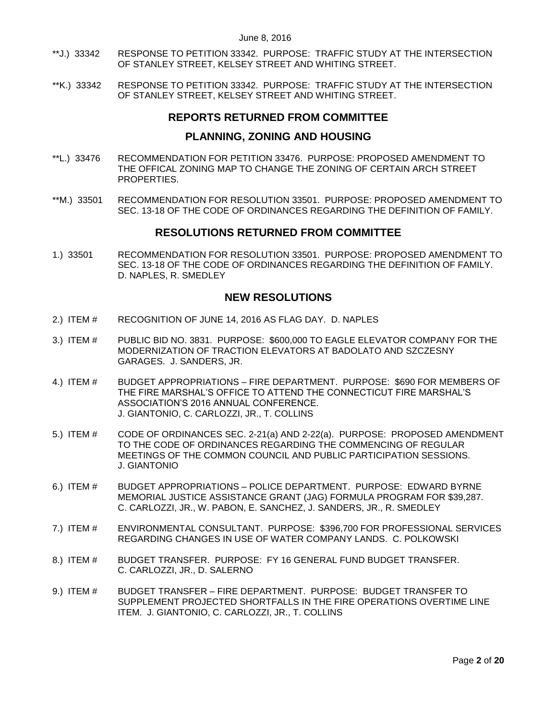- \*\*J.) 33342 [RESPONSE TO PETITION 33342. PURPOSE: TRAFFIC STUDY AT THE INTERSECTION](#page-9-0)  [OF STANLEY STREET, KELSEY STREET AND WHITING STREET.](#page-9-0)
- \*\*K.) 33342 RESPONSE TO [PETITION 33342. PURPOSE: TRAFFIC STUDY AT THE INTERSECTION](#page-9-1)  [OF STANLEY STREET, KELSEY STREET AND WHITING STREET.](#page-9-1)

# **REPORTS RETURNED FROM COMMITTEE**

# **PLANNING, ZONING AND HOUSING**

- \*\*L.) 33476 [RECOMMENDATION FOR PETITION 33476. PURPOSE: PROPOSED AMENDMENT TO](#page-10-0)  [THE OFFICAL ZONING MAP TO CHANGE THE ZONING OF](#page-10-0) CERTAIN ARCH STREET [PROPERTIES.](#page-10-0)
- \*\*M.) 33501 [RECOMMENDATION FOR RESOLUTION 33501. PURPOSE: PROPOSED AMENDMENT TO](#page-10-1)  [SEC. 13-18 OF THE CODE OF ORDINANCES REGARDING THE DEFINITION OF FAMILY.](#page-10-1)

# **RESOLUTIONS RETURNED FROM COMMITTEE**

1.) 33501 [RECOMMENDATION FOR RESOLUTION 33501. PURPOSE: PROPOSED AMENDMENT TO](#page-10-2)  [SEC. 13-18 OF THE CODE OF ORDINANCES REGARDING THE DEFINITION OF FAMILY.](#page-10-2)  [D. NAPLES, R. SMEDLEY](#page-10-2)

# **NEW RESOLUTIONS**

- 2.) ITEM # [RECOGNITION OF JUNE 14, 2016](#page-10-3) AS FLAG DAY. D. NAPLES
- 3.) ITEM # [PUBLIC BID NO. 3831. PURPOSE: \\$600,000 TO EAGLE ELEVATOR COMPANY FOR THE](#page-11-0)  [MODERNIZATION OF TRACTION ELEVATORS AT BADOLATO AND SZCZESNY](#page-11-0)  [GARAGES. J. SANDERS, JR.](#page-11-0)
- 4.) ITEM # BUDGET APPROPRIATIONS [FIRE DEPARTMENT. PURPOSE: \\$690 FOR MEMBERS OF](#page-11-1)  [THE FIRE MARSHAL'S OFFICE TO ATTEND THE CONNECTICUT FIRE MARSHAL'S](#page-11-1)  [ASSOCIATION'S 2016 ANNUAL CONFERENCE.](#page-11-1) [J. GIANTONIO, C. CARLOZZI, JR., T. COLLINS](#page-11-1)
- 5.) ITEM # [CODE OF ORDINANCES SEC. 2-21\(a\) AND 2-22\(a\). PURPOSE: PROPOSED AMENDMENT](#page-12-0)  [TO THE CODE OF ORDINANCES REGARDING THE COMMENCING OF REGULAR](#page-12-0)  [MEETINGS OF THE COMMON COUNCIL AND PUBLIC PARTICIPATION SESSIONS.](#page-12-0)  [J. GIANTONIO](#page-12-0)
- 6.) ITEM # BUDGET APPROPRIATIONS [POLICE DEPARTMENT. PURPOSE: EDWARD BYRNE](#page-13-0)  [MEMORIAL JUSTICE ASSISTANCE GRANT \(JAG\) FORMULA PROGRAM FOR \\$39,287.](#page-13-0) [C. CARLOZZI, JR., W. PABON, E. SANCHEZ, J. SANDERS, JR., R. SMEDLEY](#page-13-0)
- 7.) ITEM # [ENVIRONMENTAL CONSULTANT. PURPOSE: \\$396,700 FOR PROFESSIONAL SERVICES](#page-13-1)  REGARDING CHANGES [IN USE OF WATER COMPANY LANDS. C. POLKOWSKI](#page-13-1)
- 8.) ITEM # [BUDGET TRANSFER. PURPOSE: FY 16 GENERAL FUND BUDGET TRANSFER.](#page-14-0) [C. CARLOZZI, JR., D. SALERNO](#page-14-0)
- 9.) ITEM # BUDGET TRANSFER [FIRE DEPARTMENT. PURPOSE: BUDGET TRANSFER TO](#page-16-0)  SUPPLEMENT PROJECTED SHORTFALLS [IN THE FIRE OPERATIONS OVERTIME LINE](#page-16-0)  [ITEM. J. GIANTONIO, C. CARLOZZI, JR., T. COLLINS](#page-16-0)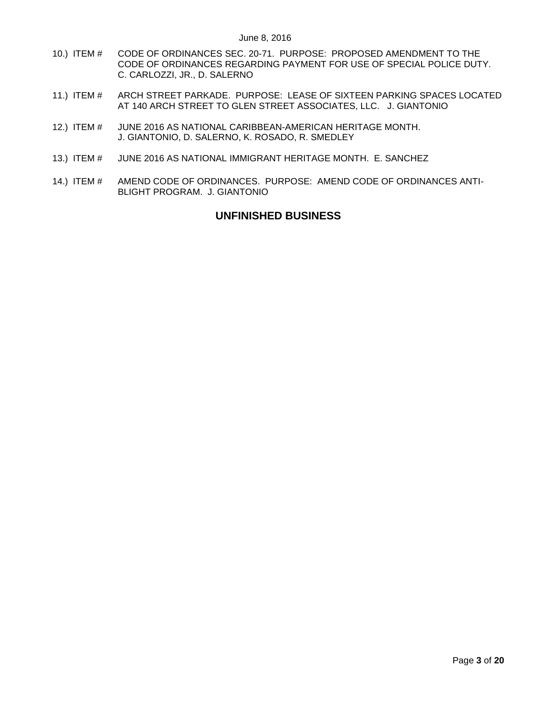- 10.) ITEM # [CODE OF ORDINANCES SEC. 20-71. PURPOSE: PROPOSED AMENDMENT TO THE](#page-17-0)  [CODE OF ORDINANCES REGARDING PAYMENT FOR USE OF SPECIAL POLICE DUTY.](#page-17-0) [C. CARLOZZI, JR., D. SALERNO](#page-17-0)
- 11.) ITEM # [ARCH STREET PARKADE. PURPOSE: LEASE OF SIXTEEN PARKING SPACES LOCATED](#page-18-0)  [AT 140 ARCH STREET TO GLEN STREET ASSOCIATES, LLC. J. GIANTONIO](#page-18-0)
- 12.) ITEM # [JUNE 2016 AS NATIONAL CARIBBEAN-AMERICAN HERITAGE MONTH.](#page-18-1) [J. GIANTONIO, D. SALERNO, K. ROSADO, R. SMEDLEY](#page-18-1)
- 13.) ITEM # [JUNE 2016 AS NATIONAL IMMIGRANT](#page-19-0) HERITAGE MONTH. E. SANCHEZ
- 14.) ITEM # [AMEND CODE OF ORDINANCES. PURPOSE: AMEND CODE OF ORDINANCES ANTI-](#page-19-1)[BLIGHT PROGRAM. J. GIANTONIO](#page-19-1)

# **UNFINISHED BUSINESS**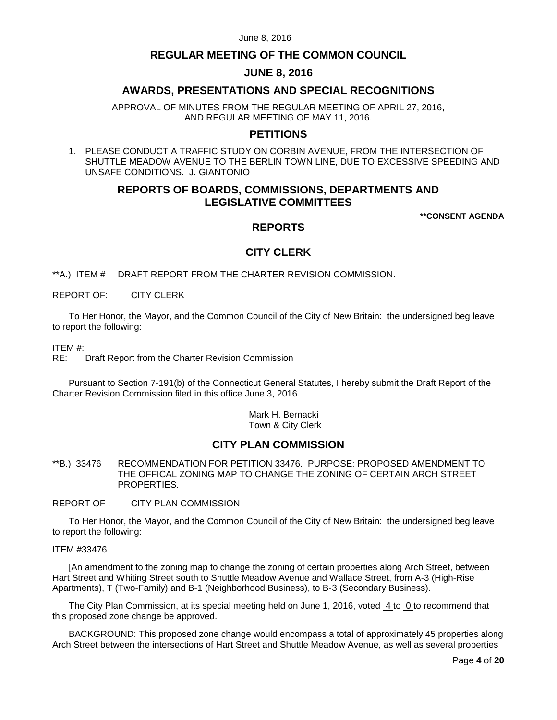# **REGULAR MEETING OF THE COMMON COUNCIL**

## **JUNE 8, 2016**

# **AWARDS, PRESENTATIONS AND SPECIAL RECOGNITIONS**

APPROVAL OF MINUTES FROM THE REGULAR MEETING OF APRIL 27, 2016, AND REGULAR MEETING OF MAY 11, 2016.

# **PETITIONS**

1. PLEASE CONDUCT A TRAFFIC STUDY ON CORBIN AVENUE, FROM THE INTERSECTION OF SHUTTLE MEADOW AVENUE TO THE BERLIN TOWN LINE, DUE TO EXCESSIVE SPEEDING AND UNSAFE CONDITIONS. J. GIANTONIO

# **REPORTS OF BOARDS, COMMISSIONS, DEPARTMENTS AND LEGISLATIVE COMMITTEES**

**\*\*CONSENT AGENDA**

# **REPORTS**

# **CITY CLERK**

<span id="page-3-0"></span>\*\*A.) ITEM # DRAFT REPORT FROM THE CHARTER REVISION COMMISSION.

REPORT OF: CITY CLERK

To Her Honor, the Mayor, and the Common Council of the City of New Britain: the undersigned beg leave to report the following:

ITEM #:

RE: Draft Report from the Charter Revision Commission

Pursuant to Section 7-191(b) of the Connecticut General Statutes, I hereby submit the Draft Report of the Charter Revision Commission filed in this office June 3, 2016.

> Mark H. Bernacki Town & City Clerk

# **CITY PLAN COMMISSION**

<span id="page-3-1"></span>\*\*B.) 33476 RECOMMENDATION FOR PETITION 33476. PURPOSE: PROPOSED AMENDMENT TO THE OFFICAL ZONING MAP TO CHANGE THE ZONING OF CERTAIN ARCH STREET PROPERTIES.

#### REPORT OF : CITY PLAN COMMISSION

To Her Honor, the Mayor, and the Common Council of the City of New Britain: the undersigned beg leave to report the following:

#### ITEM #33476

[An amendment to the zoning map to change the zoning of certain properties along Arch Street, between Hart Street and Whiting Street south to Shuttle Meadow Avenue and Wallace Street, from A-3 (High-Rise Apartments), T (Two-Family) and B-1 (Neighborhood Business), to B-3 (Secondary Business).

The City Plan Commission, at its special meeting held on June 1, 2016, voted 4 to 0 to recommend that this proposed zone change be approved.

BACKGROUND: This proposed zone change would encompass a total of approximately 45 properties along Arch Street between the intersections of Hart Street and Shuttle Meadow Avenue, as well as several properties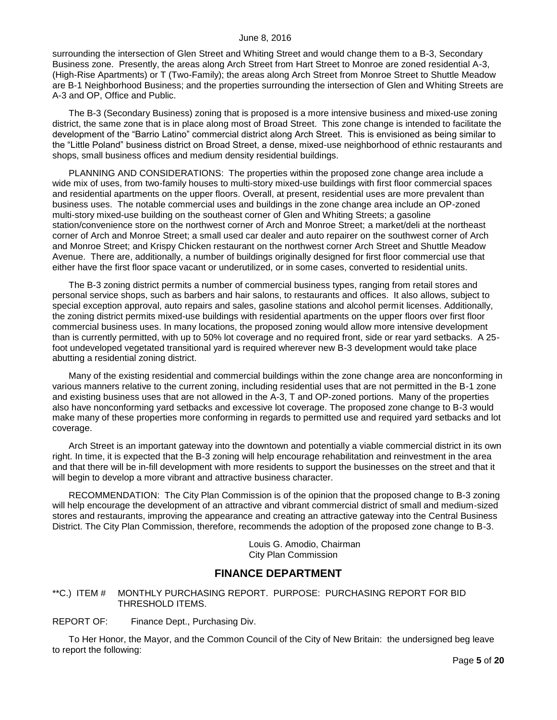surrounding the intersection of Glen Street and Whiting Street and would change them to a B-3, Secondary Business zone. Presently, the areas along Arch Street from Hart Street to Monroe are zoned residential A-3, (High-Rise Apartments) or T (Two-Family); the areas along Arch Street from Monroe Street to Shuttle Meadow are B-1 Neighborhood Business; and the properties surrounding the intersection of Glen and Whiting Streets are A-3 and OP, Office and Public.

The B-3 (Secondary Business) zoning that is proposed is a more intensive business and mixed-use zoning district, the same zone that is in place along most of Broad Street. This zone change is intended to facilitate the development of the "Barrio Latino" commercial district along Arch Street. This is envisioned as being similar to the "Little Poland" business district on Broad Street, a dense, mixed-use neighborhood of ethnic restaurants and shops, small business offices and medium density residential buildings.

PLANNING AND CONSIDERATIONS: The properties within the proposed zone change area include a wide mix of uses, from two-family houses to multi-story mixed-use buildings with first floor commercial spaces and residential apartments on the upper floors. Overall, at present, residential uses are more prevalent than business uses. The notable commercial uses and buildings in the zone change area include an OP-zoned multi-story mixed-use building on the southeast corner of Glen and Whiting Streets; a gasoline station/convenience store on the northwest corner of Arch and Monroe Street; a market/deli at the northeast corner of Arch and Monroe Street; a small used car dealer and auto repairer on the southwest corner of Arch and Monroe Street; and Krispy Chicken restaurant on the northwest corner Arch Street and Shuttle Meadow Avenue. There are, additionally, a number of buildings originally designed for first floor commercial use that either have the first floor space vacant or underutilized, or in some cases, converted to residential units.

The B-3 zoning district permits a number of commercial business types, ranging from retail stores and personal service shops, such as barbers and hair salons, to restaurants and offices. It also allows, subject to special exception approval, auto repairs and sales, gasoline stations and alcohol permit licenses. Additionally, the zoning district permits mixed-use buildings with residential apartments on the upper floors over first floor commercial business uses. In many locations, the proposed zoning would allow more intensive development than is currently permitted, with up to 50% lot coverage and no required front, side or rear yard setbacks. A 25 foot undeveloped vegetated transitional yard is required wherever new B-3 development would take place abutting a residential zoning district.

Many of the existing residential and commercial buildings within the zone change area are nonconforming in various manners relative to the current zoning, including residential uses that are not permitted in the B-1 zone and existing business uses that are not allowed in the A-3, T and OP-zoned portions. Many of the properties also have nonconforming yard setbacks and excessive lot coverage. The proposed zone change to B-3 would make many of these properties more conforming in regards to permitted use and required yard setbacks and lot coverage.

Arch Street is an important gateway into the downtown and potentially a viable commercial district in its own right. In time, it is expected that the B-3 zoning will help encourage rehabilitation and reinvestment in the area and that there will be in-fill development with more residents to support the businesses on the street and that it will begin to develop a more vibrant and attractive business character.

RECOMMENDATION: The City Plan Commission is of the opinion that the proposed change to B-3 zoning will help encourage the development of an attractive and vibrant commercial district of small and medium-sized stores and restaurants, improving the appearance and creating an attractive gateway into the Central Business District. The City Plan Commission, therefore, recommends the adoption of the proposed zone change to B-3.

> Louis G. Amodio, Chairman City Plan Commission

# **FINANCE DEPARTMENT**

<span id="page-4-0"></span>\*\*C.) ITEM # MONTHLY PURCHASING REPORT. PURPOSE: PURCHASING REPORT FOR BID THRESHOLD ITEMS.

REPORT OF: Finance Dept., Purchasing Div.

To Her Honor, the Mayor, and the Common Council of the City of New Britain: the undersigned beg leave to report the following: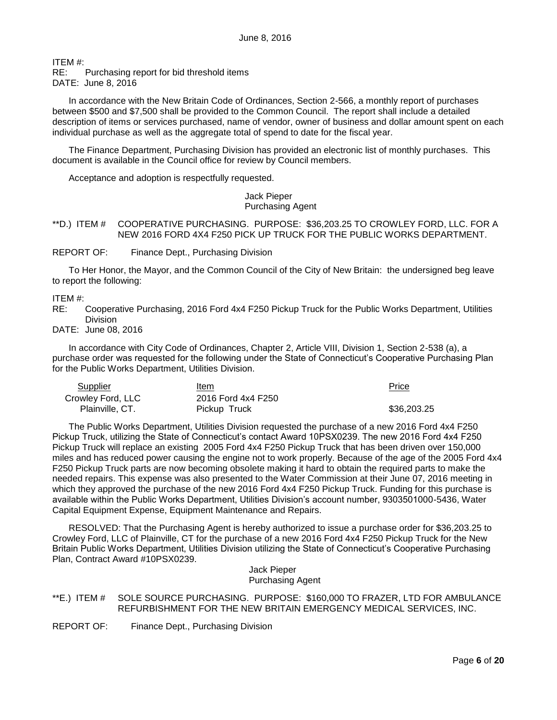ITEM #:

RE: Purchasing report for bid threshold items

DATE: June 8, 2016

In accordance with the New Britain Code of Ordinances, Section 2-566, a monthly report of purchases between \$500 and \$7,500 shall be provided to the Common Council. The report shall include a detailed description of items or services purchased, name of vendor, owner of business and dollar amount spent on each individual purchase as well as the aggregate total of spend to date for the fiscal year.

The Finance Department, Purchasing Division has provided an electronic list of monthly purchases. This document is available in the Council office for review by Council members.

Acceptance and adoption is respectfully requested.

Jack Pieper Purchasing Agent

<span id="page-5-0"></span>\*\*D.) ITEM # COOPERATIVE PURCHASING. PURPOSE: \$36,203.25 TO CROWLEY FORD, LLC. FOR A NEW 2016 FORD 4X4 F250 PICK UP TRUCK FOR THE PUBLIC WORKS DEPARTMENT.

REPORT OF: Finance Dept., Purchasing Division

To Her Honor, the Mayor, and the Common Council of the City of New Britain: the undersigned beg leave to report the following:

ITEM #:

RE: Cooperative Purchasing, 2016 Ford 4x4 F250 Pickup Truck for the Public Works Department, Utilities Division

DATE: June 08, 2016

In accordance with City Code of Ordinances, Chapter 2, Article VIII, Division 1, Section 2-538 (a), a purchase order was requested for the following under the State of Connecticut's Cooperative Purchasing Plan for the Public Works Department, Utilities Division.

| Supplier          | Item               | <b>Price</b> |
|-------------------|--------------------|--------------|
| Crowley Ford, LLC | 2016 Ford 4x4 F250 |              |
| Plainville, CT.   | Pickup Truck       | \$36.203.25  |

The Public Works Department, Utilities Division requested the purchase of a new 2016 Ford 4x4 F250 Pickup Truck, utilizing the State of Connecticut's contact Award 10PSX0239. The new 2016 Ford 4x4 F250 Pickup Truck will replace an existing 2005 Ford 4x4 F250 Pickup Truck that has been driven over 150,000 miles and has reduced power causing the engine not to work properly. Because of the age of the 2005 Ford 4x4 F250 Pickup Truck parts are now becoming obsolete making it hard to obtain the required parts to make the needed repairs. This expense was also presented to the Water Commission at their June 07, 2016 meeting in which they approved the purchase of the new 2016 Ford 4x4 F250 Pickup Truck. Funding for this purchase is available within the Public Works Department, Utilities Division's account number, 9303501000-5436, Water Capital Equipment Expense, Equipment Maintenance and Repairs.

RESOLVED: That the Purchasing Agent is hereby authorized to issue a purchase order for \$36,203.25 to Crowley Ford, LLC of Plainville, CT for the purchase of a new 2016 Ford 4x4 F250 Pickup Truck for the New Britain Public Works Department, Utilities Division utilizing the State of Connecticut's Cooperative Purchasing Plan, Contract Award #10PSX0239.

Jack Pieper Purchasing Agent

<span id="page-5-1"></span>\*\*E.) ITEM # SOLE SOURCE PURCHASING. PURPOSE: \$160,000 TO FRAZER, LTD FOR AMBULANCE REFURBISHMENT FOR THE NEW BRITAIN EMERGENCY MEDICAL SERVICES, INC.

REPORT OF: Finance Dept., Purchasing Division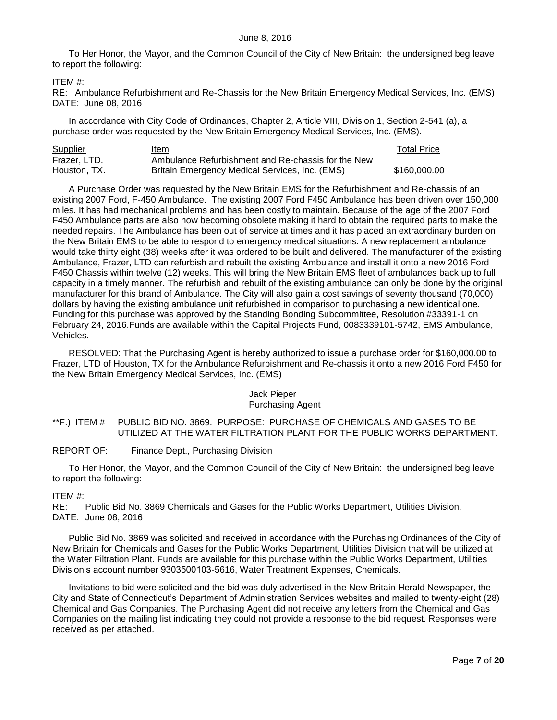To Her Honor, the Mayor, and the Common Council of the City of New Britain: the undersigned beg leave to report the following:

## ITEM #:

RE: Ambulance Refurbishment and Re-Chassis for the New Britain Emergency Medical Services, Inc. (EMS) DATE: June 08, 2016

In accordance with City Code of Ordinances, Chapter 2, Article VIII, Division 1, Section 2-541 (a), a purchase order was requested by the New Britain Emergency Medical Services, Inc. (EMS).

| Supplier     | ltem                                               | <b>Total Price</b> |
|--------------|----------------------------------------------------|--------------------|
| Frazer, LTD. | Ambulance Refurbishment and Re-chassis for the New |                    |
| Houston, TX. | Britain Emergency Medical Services, Inc. (EMS)     | \$160,000,00       |

A Purchase Order was requested by the New Britain EMS for the Refurbishment and Re-chassis of an existing 2007 Ford, F-450 Ambulance. The existing 2007 Ford F450 Ambulance has been driven over 150,000 miles. It has had mechanical problems and has been costly to maintain. Because of the age of the 2007 Ford F450 Ambulance parts are also now becoming obsolete making it hard to obtain the required parts to make the needed repairs. The Ambulance has been out of service at times and it has placed an extraordinary burden on the New Britain EMS to be able to respond to emergency medical situations. A new replacement ambulance would take thirty eight (38) weeks after it was ordered to be built and delivered. The manufacturer of the existing Ambulance, Frazer, LTD can refurbish and rebuilt the existing Ambulance and install it onto a new 2016 Ford F450 Chassis within twelve (12) weeks. This will bring the New Britain EMS fleet of ambulances back up to full capacity in a timely manner. The refurbish and rebuilt of the existing ambulance can only be done by the original manufacturer for this brand of Ambulance. The City will also gain a cost savings of seventy thousand (70,000) dollars by having the existing ambulance unit refurbished in comparison to purchasing a new identical one. Funding for this purchase was approved by the Standing Bonding Subcommittee, Resolution #33391-1 on February 24, 2016.Funds are available within the Capital Projects Fund, 0083339101-5742, EMS Ambulance, Vehicles.

RESOLVED: That the Purchasing Agent is hereby authorized to issue a purchase order for \$160,000.00 to Frazer, LTD of Houston, TX for the Ambulance Refurbishment and Re-chassis it onto a new 2016 Ford F450 for the New Britain Emergency Medical Services, Inc. (EMS)

# Jack Pieper

# Purchasing Agent

<span id="page-6-0"></span>\*\*F.) ITEM # PUBLIC BID NO. 3869. PURPOSE: PURCHASE OF CHEMICALS AND GASES TO BE UTILIZED AT THE WATER FILTRATION PLANT FOR THE PUBLIC WORKS DEPARTMENT.

REPORT OF: Finance Dept., Purchasing Division

To Her Honor, the Mayor, and the Common Council of the City of New Britain: the undersigned beg leave to report the following:

## ITEM #:

RE: Public Bid No. 3869 Chemicals and Gases for the Public Works Department, Utilities Division. DATE: June 08, 2016

Public Bid No. 3869 was solicited and received in accordance with the Purchasing Ordinances of the City of New Britain for Chemicals and Gases for the Public Works Department, Utilities Division that will be utilized at the Water Filtration Plant. Funds are available for this purchase within the Public Works Department, Utilities Division's account number 9303500103-5616, Water Treatment Expenses, Chemicals.

Invitations to bid were solicited and the bid was duly advertised in the New Britain Herald Newspaper, the City and State of Connecticut's Department of Administration Services websites and mailed to twenty-eight (28) Chemical and Gas Companies. The Purchasing Agent did not receive any letters from the Chemical and Gas Companies on the mailing list indicating they could not provide a response to the bid request. Responses were received as per attached.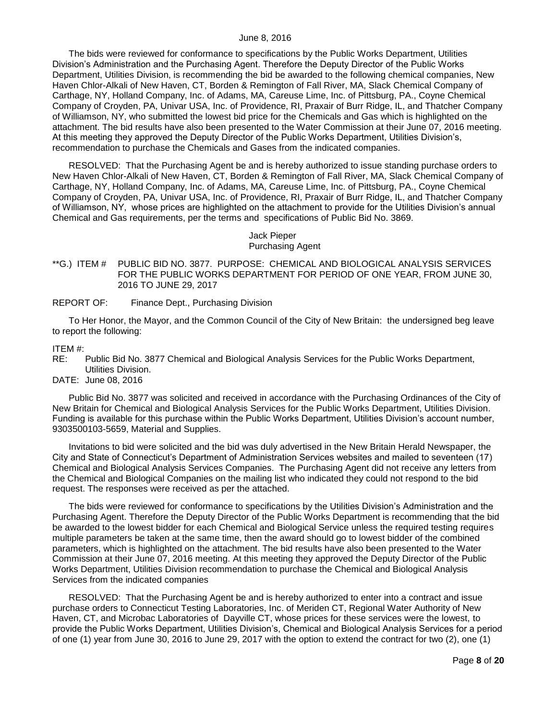The bids were reviewed for conformance to specifications by the Public Works Department, Utilities Division's Administration and the Purchasing Agent. Therefore the Deputy Director of the Public Works Department, Utilities Division, is recommending the bid be awarded to the following chemical companies, New Haven Chlor-Alkali of New Haven, CT, Borden & Remington of Fall River, MA, Slack Chemical Company of Carthage, NY, Holland Company, Inc. of Adams, MA, Careuse Lime, Inc. of Pittsburg, PA., Coyne Chemical Company of Croyden, PA, Univar USA, Inc. of Providence, RI, Praxair of Burr Ridge, IL, and Thatcher Company of Williamson, NY, who submitted the lowest bid price for the Chemicals and Gas which is highlighted on the attachment. The bid results have also been presented to the Water Commission at their June 07, 2016 meeting. At this meeting they approved the Deputy Director of the Public Works Department, Utilities Division's, recommendation to purchase the Chemicals and Gases from the indicated companies.

RESOLVED: That the Purchasing Agent be and is hereby authorized to issue standing purchase orders to New Haven Chlor-Alkali of New Haven, CT, Borden & Remington of Fall River, MA, Slack Chemical Company of Carthage, NY, Holland Company, Inc. of Adams, MA, Careuse Lime, Inc. of Pittsburg, PA., Coyne Chemical Company of Croyden, PA, Univar USA, Inc. of Providence, RI, Praxair of Burr Ridge, IL, and Thatcher Company of Williamson, NY, whose prices are highlighted on the attachment to provide for the Utilities Division's annual Chemical and Gas requirements, per the terms and specifications of Public Bid No. 3869.

# Jack Pieper

## Purchasing Agent

- <span id="page-7-0"></span>\*\*G.) ITEM # PUBLIC BID NO. 3877. PURPOSE: CHEMICAL AND BIOLOGICAL ANALYSIS SERVICES FOR THE PUBLIC WORKS DEPARTMENT FOR PERIOD OF ONE YEAR, FROM JUNE 30, 2016 TO JUNE 29, 2017
- REPORT OF: Finance Dept., Purchasing Division

To Her Honor, the Mayor, and the Common Council of the City of New Britain: the undersigned beg leave to report the following:

# ITEM #:

- Public Bid No. 3877 Chemical and Biological Analysis Services for the Public Works Department, Utilities Division.
- DATE: June 08, 2016

Public Bid No. 3877 was solicited and received in accordance with the Purchasing Ordinances of the City of New Britain for Chemical and Biological Analysis Services for the Public Works Department, Utilities Division. Funding is available for this purchase within the Public Works Department, Utilities Division's account number, 9303500103-5659, Material and Supplies.

Invitations to bid were solicited and the bid was duly advertised in the New Britain Herald Newspaper, the City and State of Connecticut's Department of Administration Services websites and mailed to seventeen (17) Chemical and Biological Analysis Services Companies. The Purchasing Agent did not receive any letters from the Chemical and Biological Companies on the mailing list who indicated they could not respond to the bid request. The responses were received as per the attached.

The bids were reviewed for conformance to specifications by the Utilities Division's Administration and the Purchasing Agent. Therefore the Deputy Director of the Public Works Department is recommending that the bid be awarded to the lowest bidder for each Chemical and Biological Service unless the required testing requires multiple parameters be taken at the same time, then the award should go to lowest bidder of the combined parameters, which is highlighted on the attachment. The bid results have also been presented to the Water Commission at their June 07, 2016 meeting. At this meeting they approved the Deputy Director of the Public Works Department, Utilities Division recommendation to purchase the Chemical and Biological Analysis Services from the indicated companies

RESOLVED: That the Purchasing Agent be and is hereby authorized to enter into a contract and issue purchase orders to Connecticut Testing Laboratories, Inc. of Meriden CT, Regional Water Authority of New Haven, CT, and Microbac Laboratories of Dayville CT, whose prices for these services were the lowest, to provide the Public Works Department, Utilities Division's, Chemical and Biological Analysis Services for a period of one (1) year from June 30, 2016 to June 29, 2017 with the option to extend the contract for two (2), one (1)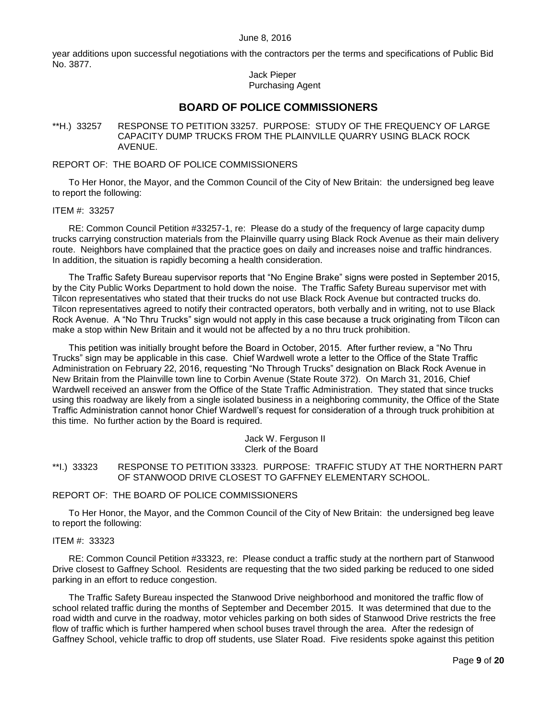year additions upon successful negotiations with the contractors per the terms and specifications of Public Bid No. 3877.

## Jack Pieper Purchasing Agent

# **BOARD OF POLICE COMMISSIONERS**

<span id="page-8-0"></span>\*\*H.) 33257 RESPONSE TO PETITION 33257. PURPOSE: STUDY OF THE FREQUENCY OF LARGE CAPACITY DUMP TRUCKS FROM THE PLAINVILLE QUARRY USING BLACK ROCK AVENUE.

## REPORT OF: THE BOARD OF POLICE COMMISSIONERS

To Her Honor, the Mayor, and the Common Council of the City of New Britain: the undersigned beg leave to report the following:

#### ITEM #: 33257

RE: Common Council Petition #33257-1, re: Please do a study of the frequency of large capacity dump trucks carrying construction materials from the Plainville quarry using Black Rock Avenue as their main delivery route. Neighbors have complained that the practice goes on daily and increases noise and traffic hindrances. In addition, the situation is rapidly becoming a health consideration.

The Traffic Safety Bureau supervisor reports that "No Engine Brake" signs were posted in September 2015, by the City Public Works Department to hold down the noise. The Traffic Safety Bureau supervisor met with Tilcon representatives who stated that their trucks do not use Black Rock Avenue but contracted trucks do. Tilcon representatives agreed to notify their contracted operators, both verbally and in writing, not to use Black Rock Avenue. A "No Thru Trucks" sign would not apply in this case because a truck originating from Tilcon can make a stop within New Britain and it would not be affected by a no thru truck prohibition.

This petition was initially brought before the Board in October, 2015. After further review, a "No Thru Trucks" sign may be applicable in this case. Chief Wardwell wrote a letter to the Office of the State Traffic Administration on February 22, 2016, requesting "No Through Trucks" designation on Black Rock Avenue in New Britain from the Plainville town line to Corbin Avenue (State Route 372). On March 31, 2016, Chief Wardwell received an answer from the Office of the State Traffic Administration. They stated that since trucks using this roadway are likely from a single isolated business in a neighboring community, the Office of the State Traffic Administration cannot honor Chief Wardwell's request for consideration of a through truck prohibition at this time. No further action by the Board is required.

> Jack W. Ferguson II Clerk of the Board

# <span id="page-8-1"></span>\*\*I.) 33323 RESPONSE TO PETITION 33323. PURPOSE: TRAFFIC STUDY AT THE NORTHERN PART OF STANWOOD DRIVE CLOSEST TO GAFFNEY ELEMENTARY SCHOOL.

## REPORT OF: THE BOARD OF POLICE COMMISSIONERS

To Her Honor, the Mayor, and the Common Council of the City of New Britain: the undersigned beg leave to report the following:

### ITEM #: 33323

RE: Common Council Petition #33323, re: Please conduct a traffic study at the northern part of Stanwood Drive closest to Gaffney School. Residents are requesting that the two sided parking be reduced to one sided parking in an effort to reduce congestion.

The Traffic Safety Bureau inspected the Stanwood Drive neighborhood and monitored the traffic flow of school related traffic during the months of September and December 2015. It was determined that due to the road width and curve in the roadway, motor vehicles parking on both sides of Stanwood Drive restricts the free flow of traffic which is further hampered when school buses travel through the area. After the redesign of Gaffney School, vehicle traffic to drop off students, use Slater Road. Five residents spoke against this petition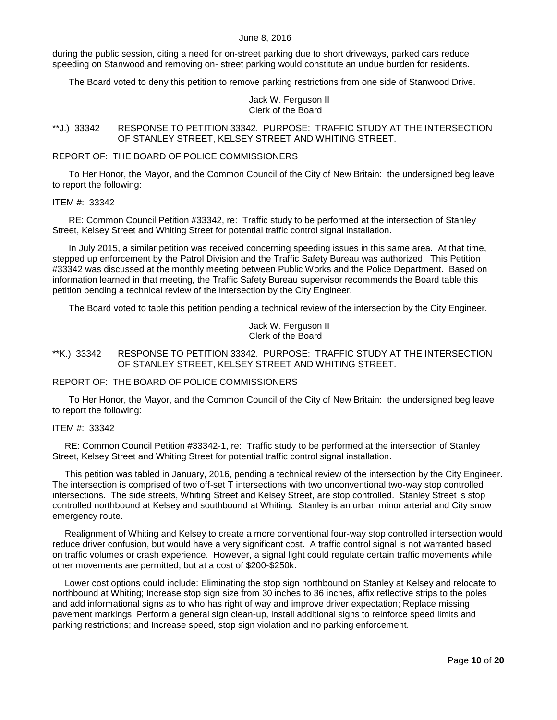during the public session, citing a need for on-street parking due to short driveways, parked cars reduce speeding on Stanwood and removing on- street parking would constitute an undue burden for residents.

The Board voted to deny this petition to remove parking restrictions from one side of Stanwood Drive.

## Jack W. Ferguson II Clerk of the Board

## <span id="page-9-0"></span>\*\*J.) 33342 RESPONSE TO PETITION 33342. PURPOSE: TRAFFIC STUDY AT THE INTERSECTION OF STANLEY STREET, KELSEY STREET AND WHITING STREET.

#### REPORT OF: THE BOARD OF POLICE COMMISSIONERS

To Her Honor, the Mayor, and the Common Council of the City of New Britain: the undersigned beg leave to report the following:

### ITEM #: 33342

RE: Common Council Petition #33342, re: Traffic study to be performed at the intersection of Stanley Street, Kelsey Street and Whiting Street for potential traffic control signal installation.

In July 2015, a similar petition was received concerning speeding issues in this same area. At that time, stepped up enforcement by the Patrol Division and the Traffic Safety Bureau was authorized. This Petition #33342 was discussed at the monthly meeting between Public Works and the Police Department. Based on information learned in that meeting, the Traffic Safety Bureau supervisor recommends the Board table this petition pending a technical review of the intersection by the City Engineer.

The Board voted to table this petition pending a technical review of the intersection by the City Engineer.

Jack W. Ferguson II Clerk of the Board

## <span id="page-9-1"></span>\*\*K.) 33342 RESPONSE TO PETITION 33342. PURPOSE: TRAFFIC STUDY AT THE INTERSECTION OF STANLEY STREET, KELSEY STREET AND WHITING STREET.

### REPORT OF: THE BOARD OF POLICE COMMISSIONERS

To Her Honor, the Mayor, and the Common Council of the City of New Britain: the undersigned beg leave to report the following:

### ITEM #: 33342

RE: Common Council Petition #33342-1, re: Traffic study to be performed at the intersection of Stanley Street, Kelsey Street and Whiting Street for potential traffic control signal installation.

This petition was tabled in January, 2016, pending a technical review of the intersection by the City Engineer. The intersection is comprised of two off-set T intersections with two unconventional two-way stop controlled intersections. The side streets, Whiting Street and Kelsey Street, are stop controlled. Stanley Street is stop controlled northbound at Kelsey and southbound at Whiting. Stanley is an urban minor arterial and City snow emergency route.

Realignment of Whiting and Kelsey to create a more conventional four-way stop controlled intersection would reduce driver confusion, but would have a very significant cost. A traffic control signal is not warranted based on traffic volumes or crash experience. However, a signal light could regulate certain traffic movements while other movements are permitted, but at a cost of \$200-\$250k.

Lower cost options could include: Eliminating the stop sign northbound on Stanley at Kelsey and relocate to northbound at Whiting; Increase stop sign size from 30 inches to 36 inches, affix reflective strips to the poles and add informational signs as to who has right of way and improve driver expectation; Replace missing pavement markings; Perform a general sign clean-up, install additional signs to reinforce speed limits and parking restrictions; and Increase speed, stop sign violation and no parking enforcement.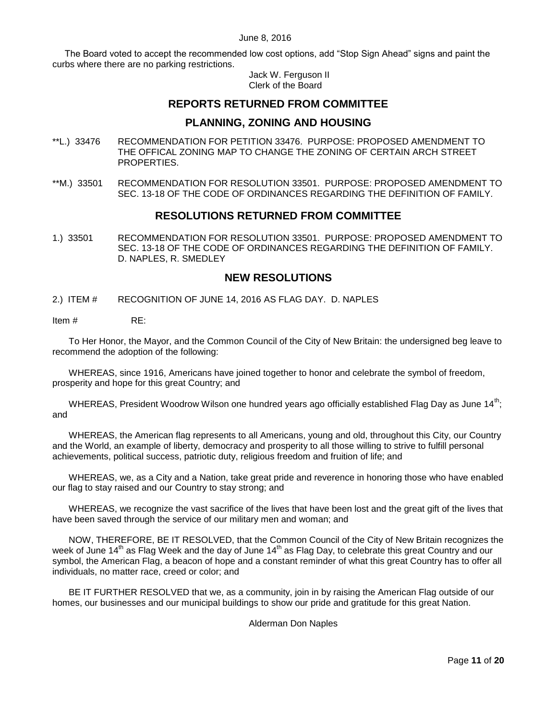The Board voted to accept the recommended low cost options, add "Stop Sign Ahead" signs and paint the curbs where there are no parking restrictions.

> Jack W. Ferguson II Clerk of the Board

# **REPORTS RETURNED FROM COMMITTEE**

# **PLANNING, ZONING AND HOUSING**

- <span id="page-10-0"></span>\*\*L.) 33476 RECOMMENDATION FOR PETITION 33476. PURPOSE: PROPOSED AMENDMENT TO THE OFFICAL ZONING MAP TO CHANGE THE ZONING OF CERTAIN ARCH STREET PROPERTIES.
- <span id="page-10-1"></span>\*\*M.) 33501 RECOMMENDATION FOR RESOLUTION 33501. PURPOSE: PROPOSED AMENDMENT TO SEC. 13-18 OF THE CODE OF ORDINANCES REGARDING THE DEFINITION OF FAMILY.

# **RESOLUTIONS RETURNED FROM COMMITTEE**

<span id="page-10-2"></span>1.) 33501 RECOMMENDATION FOR RESOLUTION 33501. PURPOSE: PROPOSED AMENDMENT TO SEC. 13-18 OF THE CODE OF ORDINANCES REGARDING THE DEFINITION OF FAMILY. D. NAPLES, R. SMEDLEY

# **NEW RESOLUTIONS**

<span id="page-10-3"></span>2.) ITEM # RECOGNITION OF JUNE 14, 2016 AS FLAG DAY. D. NAPLES

Item # RE:

To Her Honor, the Mayor, and the Common Council of the City of New Britain: the undersigned beg leave to recommend the adoption of the following:

WHEREAS, since 1916, Americans have joined together to honor and celebrate the symbol of freedom, prosperity and hope for this great Country; and

WHEREAS, President Woodrow Wilson one hundred years ago officially established Flag Day as June 14<sup>th</sup>; and

WHEREAS, the American flag represents to all Americans, young and old, throughout this City, our Country and the World, an example of liberty, democracy and prosperity to all those willing to strive to fulfill personal achievements, political success, patriotic duty, religious freedom and fruition of life; and

WHEREAS, we, as a City and a Nation, take great pride and reverence in honoring those who have enabled our flag to stay raised and our Country to stay strong; and

WHEREAS, we recognize the vast sacrifice of the lives that have been lost and the great gift of the lives that have been saved through the service of our military men and woman; and

NOW, THEREFORE, BE IT RESOLVED, that the Common Council of the City of New Britain recognizes the week of June 14<sup>th</sup> as Flag Week and the day of June 14<sup>th</sup> as Flag Day, to celebrate this great Country and our symbol, the American Flag, a beacon of hope and a constant reminder of what this great Country has to offer all individuals, no matter race, creed or color; and

BE IT FURTHER RESOLVED that we, as a community, join in by raising the American Flag outside of our homes, our businesses and our municipal buildings to show our pride and gratitude for this great Nation.

## Alderman Don Naples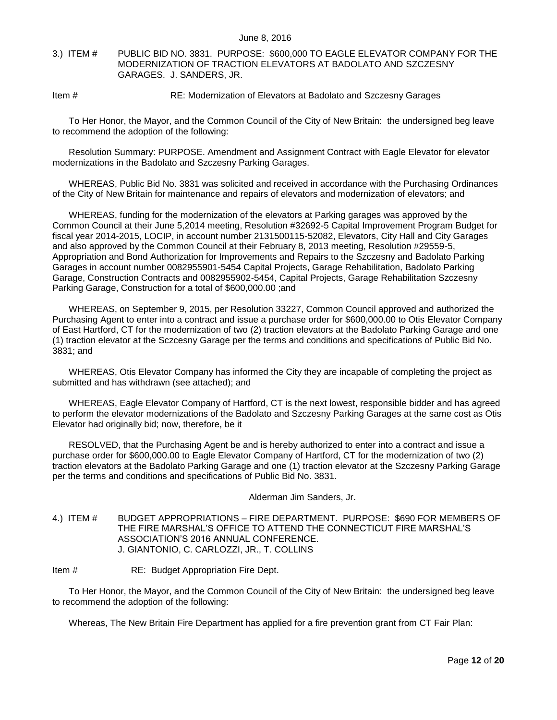<span id="page-11-0"></span>3.) ITEM # PUBLIC BID NO. 3831. PURPOSE: \$600,000 TO EAGLE ELEVATOR COMPANY FOR THE MODERNIZATION OF TRACTION ELEVATORS AT BADOLATO AND SZCZESNY GARAGES. J. SANDERS, JR.

## Item # RE: Modernization of Elevators at Badolato and Szczesny Garages

To Her Honor, the Mayor, and the Common Council of the City of New Britain: the undersigned beg leave to recommend the adoption of the following:

Resolution Summary: PURPOSE. Amendment and Assignment Contract with Eagle Elevator for elevator modernizations in the Badolato and Szczesny Parking Garages.

WHEREAS, Public Bid No. 3831 was solicited and received in accordance with the Purchasing Ordinances of the City of New Britain for maintenance and repairs of elevators and modernization of elevators; and

WHEREAS, funding for the modernization of the elevators at Parking garages was approved by the Common Council at their June 5,2014 meeting, Resolution #32692-5 Capital Improvement Program Budget for fiscal year 2014-2015, LOCIP, in account number 2131500115-52082, Elevators, City Hall and City Garages and also approved by the Common Council at their February 8, 2013 meeting, Resolution #29559-5, Appropriation and Bond Authorization for Improvements and Repairs to the Szczesny and Badolato Parking Garages in account number 0082955901-5454 Capital Projects, Garage Rehabilitation, Badolato Parking Garage, Construction Contracts and 0082955902-5454, Capital Projects, Garage Rehabilitation Szczesny Parking Garage, Construction for a total of \$600,000.00 ;and

WHEREAS, on September 9, 2015, per Resolution 33227, Common Council approved and authorized the Purchasing Agent to enter into a contract and issue a purchase order for \$600,000.00 to Otis Elevator Company of East Hartford, CT for the modernization of two (2) traction elevators at the Badolato Parking Garage and one (1) traction elevator at the Sczcesny Garage per the terms and conditions and specifications of Public Bid No. 3831; and

WHEREAS, Otis Elevator Company has informed the City they are incapable of completing the project as submitted and has withdrawn (see attached); and

WHEREAS, Eagle Elevator Company of Hartford, CT is the next lowest, responsible bidder and has agreed to perform the elevator modernizations of the Badolato and Szczesny Parking Garages at the same cost as Otis Elevator had originally bid; now, therefore, be it

RESOLVED, that the Purchasing Agent be and is hereby authorized to enter into a contract and issue a purchase order for \$600,000.00 to Eagle Elevator Company of Hartford, CT for the modernization of two (2) traction elevators at the Badolato Parking Garage and one (1) traction elevator at the Szczesny Parking Garage per the terms and conditions and specifications of Public Bid No. 3831.

Alderman Jim Sanders, Jr.

- <span id="page-11-1"></span>4.) ITEM # BUDGET APPROPRIATIONS – FIRE DEPARTMENT. PURPOSE: \$690 FOR MEMBERS OF THE FIRE MARSHAL'S OFFICE TO ATTEND THE CONNECTICUT FIRE MARSHAL'S ASSOCIATION'S 2016 ANNUAL CONFERENCE. J. GIANTONIO, C. CARLOZZI, JR., T. COLLINS
- Item # RE: Budget Appropriation Fire Dept.

To Her Honor, the Mayor, and the Common Council of the City of New Britain: the undersigned beg leave to recommend the adoption of the following:

Whereas, The New Britain Fire Department has applied for a fire prevention grant from CT Fair Plan: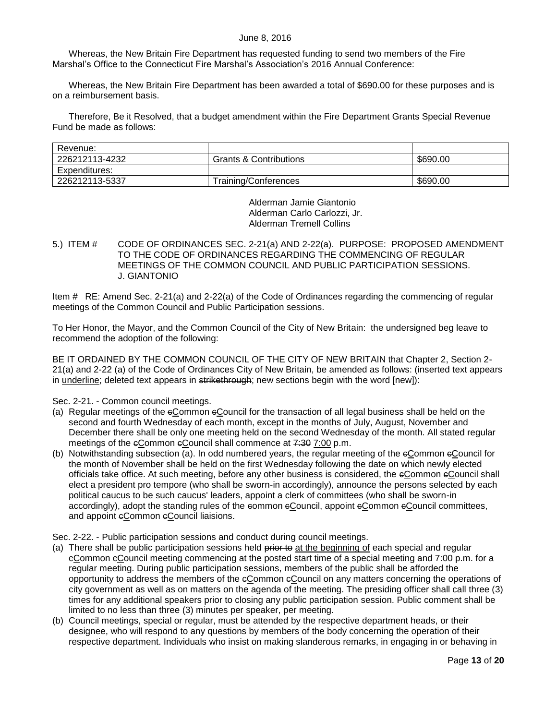Whereas, the New Britain Fire Department has requested funding to send two members of the Fire Marshal's Office to the Connecticut Fire Marshal's Association's 2016 Annual Conference:

Whereas, the New Britain Fire Department has been awarded a total of \$690.00 for these purposes and is on a reimbursement basis.

Therefore, Be it Resolved, that a budget amendment within the Fire Department Grants Special Revenue Fund be made as follows:

| Revenue:       |                                   |          |
|----------------|-----------------------------------|----------|
| 226212113-4232 | <b>Grants &amp; Contributions</b> | \$690.00 |
| Expenditures:  |                                   |          |
| 226212113-5337 | Training/Conferences              | \$690.00 |

Alderman Jamie Giantonio Alderman Carlo Carlozzi, Jr. Alderman Tremell Collins

## <span id="page-12-0"></span>5.) ITEM # CODE OF ORDINANCES SEC. 2-21(a) AND 2-22(a). PURPOSE: PROPOSED AMENDMENT TO THE CODE OF ORDINANCES REGARDING THE COMMENCING OF REGULAR MEETINGS OF THE COMMON COUNCIL AND PUBLIC PARTICIPATION SESSIONS. J. GIANTONIO

Item # RE: Amend Sec. 2-21(a) and 2-22(a) of the Code of Ordinances regarding the commencing of regular meetings of the Common Council and Public Participation sessions.

To Her Honor, the Mayor, and the Common Council of the City of New Britain: the undersigned beg leave to recommend the adoption of the following:

BE IT ORDAINED BY THE COMMON COUNCIL OF THE CITY OF NEW BRITAIN that Chapter 2, Section 2- 21(a) and 2-22 (a) of the Code of Ordinances City of New Britain, be amended as follows: (inserted text appears in underline; deleted text appears in strikethrough; new sections begin with the word [new]):

## Sec. 2-21. - Common council meetings.

- (a) Regular meetings of the eCommon eCouncil for the transaction of all legal business shall be held on the second and fourth Wednesday of each month, except in the months of July, August, November and December there shall be only one meeting held on the second Wednesday of the month. All stated regular meetings of the  $e$ Common  $e$ Council shall commence at  $7:307$ :00 p.m.
- (b) Notwithstanding subsection (a). In odd numbered years, the regular meeting of the cCommon cCouncil for the month of November shall be held on the first Wednesday following the date on which newly elected officials take office. At such meeting, before any other business is considered, the eCommon eCouncil shall elect a president pro tempore (who shall be sworn-in accordingly), announce the persons selected by each political caucus to be such caucus' leaders, appoint a clerk of committees (who shall be sworn-in accordingly), adopt the standing rules of the common cCouncil, appoint cCommon cCouncil committees, and appoint eCommon eCouncil liaisions.

Sec. 2-22. - Public participation sessions and conduct during council meetings.

- (a) There shall be public participation sessions held prior to at the beginning of each special and regular cCommon cCouncil meeting commencing at the posted start time of a special meeting and 7:00 p.m. for a regular meeting. During public participation sessions, members of the public shall be afforded the opportunity to address the members of the cCommon cCouncil on any matters concerning the operations of city government as well as on matters on the agenda of the meeting. The presiding officer shall call three (3) times for any additional speakers prior to closing any public participation session. Public comment shall be limited to no less than three (3) minutes per speaker, per meeting.
- (b) Council meetings, special or regular, must be attended by the respective department heads, or their designee, who will respond to any questions by members of the body concerning the operation of their respective department. Individuals who insist on making slanderous remarks, in engaging in or behaving in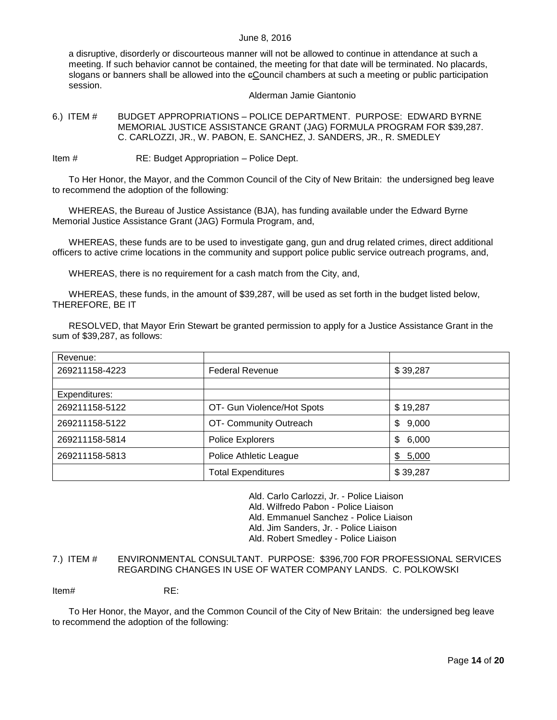a disruptive, disorderly or discourteous manner will not be allowed to continue in attendance at such a meeting. If such behavior cannot be contained, the meeting for that date will be terminated. No placards, slogans or banners shall be allowed into the eCouncil chambers at such a meeting or public participation session.

#### Alderman Jamie Giantonio

<span id="page-13-0"></span>6.) ITEM # BUDGET APPROPRIATIONS – POLICE DEPARTMENT. PURPOSE: EDWARD BYRNE MEMORIAL JUSTICE ASSISTANCE GRANT (JAG) FORMULA PROGRAM FOR \$39,287. C. CARLOZZI, JR., W. PABON, E. SANCHEZ, J. SANDERS, JR., R. SMEDLEY

Item # RE: Budget Appropriation – Police Dept.

To Her Honor, the Mayor, and the Common Council of the City of New Britain: the undersigned beg leave to recommend the adoption of the following:

WHEREAS, the Bureau of Justice Assistance (BJA), has funding available under the Edward Byrne Memorial Justice Assistance Grant (JAG) Formula Program, and,

WHEREAS, these funds are to be used to investigate gang, gun and drug related crimes, direct additional officers to active crime locations in the community and support police public service outreach programs, and,

WHEREAS, there is no requirement for a cash match from the City, and,

WHEREAS, these funds, in the amount of \$39,287, will be used as set forth in the budget listed below, THEREFORE, BE IT

RESOLVED, that Mayor Erin Stewart be granted permission to apply for a Justice Assistance Grant in the sum of \$39,287, as follows:

| Revenue:       |                            |             |
|----------------|----------------------------|-------------|
| 269211158-4223 | <b>Federal Revenue</b>     | \$39,287    |
|                |                            |             |
| Expenditures:  |                            |             |
| 269211158-5122 | OT- Gun Violence/Hot Spots | \$19,287    |
| 269211158-5122 | OT- Community Outreach     | \$<br>9,000 |
| 269211158-5814 | Police Explorers           | \$<br>6,000 |
| 269211158-5813 | Police Athletic League     | \$5,000     |
|                | <b>Total Expenditures</b>  | \$39,287    |

Ald. Carlo Carlozzi, Jr. - Police Liaison

Ald. Wilfredo Pabon - Police Liaison

Ald. Emmanuel Sanchez - Police Liaison

Ald. Jim Sanders, Jr. - Police Liaison

Ald. Robert Smedley - Police Liaison

## <span id="page-13-1"></span>7.) ITEM # ENVIRONMENTAL CONSULTANT. PURPOSE: \$396,700 FOR PROFESSIONAL SERVICES REGARDING CHANGES IN USE OF WATER COMPANY LANDS. C. POLKOWSKI

Item# RE:

To Her Honor, the Mayor, and the Common Council of the City of New Britain: the undersigned beg leave to recommend the adoption of the following: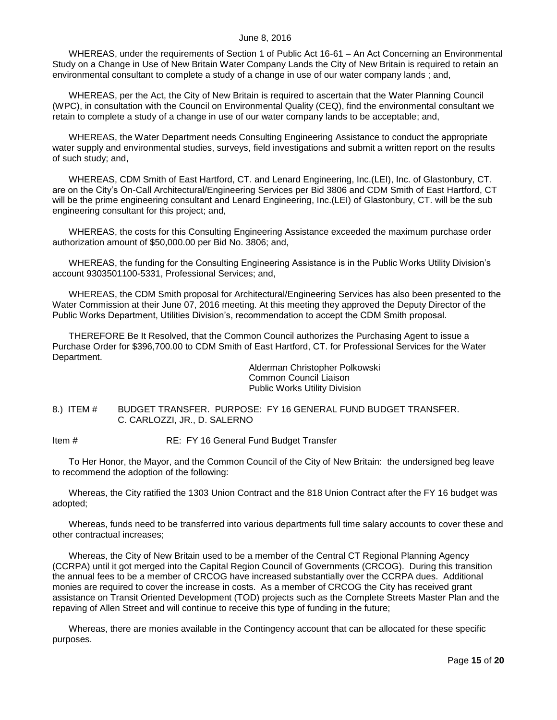WHEREAS, under the requirements of Section 1 of Public Act 16-61 – An Act Concerning an Environmental Study on a Change in Use of New Britain Water Company Lands the City of New Britain is required to retain an environmental consultant to complete a study of a change in use of our water company lands ; and,

WHEREAS, per the Act, the City of New Britain is required to ascertain that the Water Planning Council (WPC), in consultation with the Council on Environmental Quality (CEQ), find the environmental consultant we retain to complete a study of a change in use of our water company lands to be acceptable; and,

WHEREAS, the Water Department needs Consulting Engineering Assistance to conduct the appropriate water supply and environmental studies, surveys, field investigations and submit a written report on the results of such study; and,

WHEREAS, CDM Smith of East Hartford, CT. and Lenard Engineering, Inc.(LEI), Inc. of Glastonbury, CT. are on the City's On-Call Architectural/Engineering Services per Bid 3806 and CDM Smith of East Hartford, CT will be the prime engineering consultant and Lenard Engineering, Inc.(LEI) of Glastonbury, CT. will be the sub engineering consultant for this project; and,

WHEREAS, the costs for this Consulting Engineering Assistance exceeded the maximum purchase order authorization amount of \$50,000.00 per Bid No. 3806; and,

WHEREAS, the funding for the Consulting Engineering Assistance is in the Public Works Utility Division's account 9303501100-5331, Professional Services; and,

WHEREAS, the CDM Smith proposal for Architectural/Engineering Services has also been presented to the Water Commission at their June 07, 2016 meeting. At this meeting they approved the Deputy Director of the Public Works Department, Utilities Division's, recommendation to accept the CDM Smith proposal.

THEREFORE Be It Resolved, that the Common Council authorizes the Purchasing Agent to issue a Purchase Order for \$396,700.00 to CDM Smith of East Hartford, CT. for Professional Services for the Water Department.

> Alderman Christopher Polkowski Common Council Liaison Public Works Utility Division

<span id="page-14-0"></span>8.) ITEM # BUDGET TRANSFER. PURPOSE: FY 16 GENERAL FUND BUDGET TRANSFER. C. CARLOZZI, JR., D. SALERNO

Item # RE: FY 16 General Fund Budget Transfer

To Her Honor, the Mayor, and the Common Council of the City of New Britain: the undersigned beg leave to recommend the adoption of the following:

Whereas, the City ratified the 1303 Union Contract and the 818 Union Contract after the FY 16 budget was adopted;

Whereas, funds need to be transferred into various departments full time salary accounts to cover these and other contractual increases;

Whereas, the City of New Britain used to be a member of the Central CT Regional Planning Agency (CCRPA) until it got merged into the Capital Region Council of Governments (CRCOG). During this transition the annual fees to be a member of CRCOG have increased substantially over the CCRPA dues. Additional monies are required to cover the increase in costs. As a member of CRCOG the City has received grant assistance on Transit Oriented Development (TOD) projects such as the Complete Streets Master Plan and the repaving of Allen Street and will continue to receive this type of funding in the future;

Whereas, there are monies available in the Contingency account that can be allocated for these specific purposes.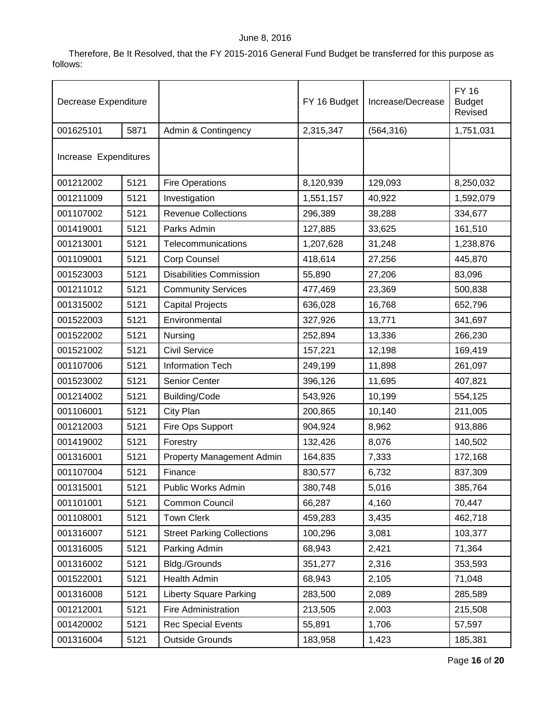Therefore, Be It Resolved, that the FY 2015-2016 General Fund Budget be transferred for this purpose as follows:

| Decrease Expenditure  |      |                                   | FY 16 Budget | Increase/Decrease | <b>FY 16</b><br><b>Budget</b><br>Revised |
|-----------------------|------|-----------------------------------|--------------|-------------------|------------------------------------------|
| 001625101             | 5871 | Admin & Contingency               | 2,315,347    | (564, 316)        | 1,751,031                                |
| Increase Expenditures |      |                                   |              |                   |                                          |
| 001212002             | 5121 | <b>Fire Operations</b>            | 8,120,939    | 129,093           | 8,250,032                                |
| 001211009             | 5121 | Investigation                     | 1,551,157    | 40,922            | 1,592,079                                |
| 001107002             | 5121 | <b>Revenue Collections</b>        | 296,389      | 38,288            | 334,677                                  |
| 001419001             | 5121 | Parks Admin                       | 127,885      | 33,625            | 161,510                                  |
| 001213001             | 5121 | Telecommunications                | 1,207,628    | 31,248            | 1,238,876                                |
| 001109001             | 5121 | Corp Counsel                      | 418,614      | 27,256            | 445,870                                  |
| 001523003             | 5121 | <b>Disabilities Commission</b>    | 55,890       | 27,206            | 83,096                                   |
| 001211012             | 5121 | <b>Community Services</b>         | 477,469      | 23,369            | 500,838                                  |
| 001315002             | 5121 | <b>Capital Projects</b>           | 636,028      | 16,768            | 652,796                                  |
| 001522003             | 5121 | Environmental                     | 327,926      | 13,771            | 341,697                                  |
| 001522002             | 5121 | Nursing                           | 252,894      | 13,336            | 266,230                                  |
| 001521002             | 5121 | <b>Civil Service</b>              | 157,221      | 12,198            | 169,419                                  |
| 001107006             | 5121 | Information Tech                  | 249,199      | 11,898            | 261,097                                  |
| 001523002             | 5121 | Senior Center                     | 396,126      | 11,695            | 407,821                                  |
| 001214002             | 5121 | Building/Code                     | 543,926      | 10,199            | 554,125                                  |
| 001106001             | 5121 | City Plan                         | 200,865      | 10,140            | 211,005                                  |
| 001212003             | 5121 | Fire Ops Support                  | 904,924      | 8,962             | 913,886                                  |
| 001419002             | 5121 | Forestry                          | 132,426      | 8,076             | 140,502                                  |
| 001316001             | 5121 | <b>Property Management Admin</b>  | 164,835      | 7,333             | 172,168                                  |
| 001107004             | 5121 | Finance                           | 830,577      | 6,732             | 837,309                                  |
| 001315001             | 5121 | Public Works Admin                | 380,748      | 5,016             | 385,764                                  |
| 001101001             | 5121 | Common Council                    | 66,287       | 4,160             | 70,447                                   |
| 001108001             | 5121 | <b>Town Clerk</b>                 | 459,283      | 3,435             | 462,718                                  |
| 001316007             | 5121 | <b>Street Parking Collections</b> | 100,296      | 3,081             | 103,377                                  |
| 001316005             | 5121 | Parking Admin                     | 68,943       | 2,421             | 71,364                                   |
| 001316002             | 5121 | Bldg./Grounds                     | 351,277      | 2,316             | 353,593                                  |
| 001522001             | 5121 | Health Admin                      | 68,943       | 2,105             | 71,048                                   |
| 001316008             | 5121 | <b>Liberty Square Parking</b>     | 283,500      | 2,089             | 285,589                                  |
| 001212001             | 5121 | Fire Administration               | 213,505      | 2,003             | 215,508                                  |
| 001420002             | 5121 | <b>Rec Special Events</b>         | 55,891       | 1,706             | 57,597                                   |
| 001316004             | 5121 | <b>Outside Grounds</b>            | 183,958      | 1,423             | 185,381                                  |

Page **16** of **20**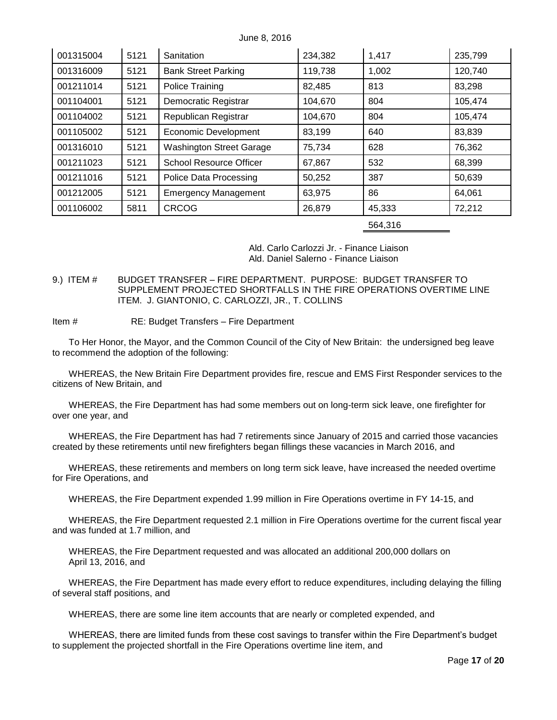| 001315004 | 5121 | Sanitation                      | 234,382 | 1,417  | 235,799 |
|-----------|------|---------------------------------|---------|--------|---------|
| 001316009 | 5121 | <b>Bank Street Parking</b>      | 119,738 | 1,002  | 120,740 |
| 001211014 | 5121 | Police Training                 | 82,485  | 813    | 83,298  |
| 001104001 | 5121 | Democratic Registrar            | 104,670 | 804    | 105,474 |
| 001104002 | 5121 | Republican Registrar            | 104,670 | 804    | 105,474 |
| 001105002 | 5121 | <b>Economic Development</b>     | 83,199  | 640    | 83,839  |
| 001316010 | 5121 | <b>Washington Street Garage</b> | 75,734  | 628    | 76,362  |
| 001211023 | 5121 | <b>School Resource Officer</b>  | 67,867  | 532    | 68,399  |
| 001211016 | 5121 | Police Data Processing          | 50,252  | 387    | 50,639  |
| 001212005 | 5121 | <b>Emergency Management</b>     | 63,975  | 86     | 64,061  |
| 001106002 | 5811 | <b>CRCOG</b>                    | 26,879  | 45,333 | 72,212  |

564,316

Ald. Carlo Carlozzi Jr. - Finance Liaison Ald. Daniel Salerno - Finance Liaison

- <span id="page-16-0"></span>9.) ITEM # BUDGET TRANSFER – FIRE DEPARTMENT. PURPOSE: BUDGET TRANSFER TO SUPPLEMENT PROJECTED SHORTFALLS IN THE FIRE OPERATIONS OVERTIME LINE ITEM. J. GIANTONIO, C. CARLOZZI, JR., T. COLLINS
- Item # RE: Budget Transfers Fire Department

To Her Honor, the Mayor, and the Common Council of the City of New Britain: the undersigned beg leave to recommend the adoption of the following:

WHEREAS, the New Britain Fire Department provides fire, rescue and EMS First Responder services to the citizens of New Britain, and

WHEREAS, the Fire Department has had some members out on long-term sick leave, one firefighter for over one year, and

WHEREAS, the Fire Department has had 7 retirements since January of 2015 and carried those vacancies created by these retirements until new firefighters began fillings these vacancies in March 2016, and

WHEREAS, these retirements and members on long term sick leave, have increased the needed overtime for Fire Operations, and

WHEREAS, the Fire Department expended 1.99 million in Fire Operations overtime in FY 14-15, and

WHEREAS, the Fire Department requested 2.1 million in Fire Operations overtime for the current fiscal year and was funded at 1.7 million, and

WHEREAS, the Fire Department requested and was allocated an additional 200,000 dollars on April 13, 2016, and

WHEREAS, the Fire Department has made every effort to reduce expenditures, including delaying the filling of several staff positions, and

WHEREAS, there are some line item accounts that are nearly or completed expended, and

WHEREAS, there are limited funds from these cost savings to transfer within the Fire Department's budget to supplement the projected shortfall in the Fire Operations overtime line item, and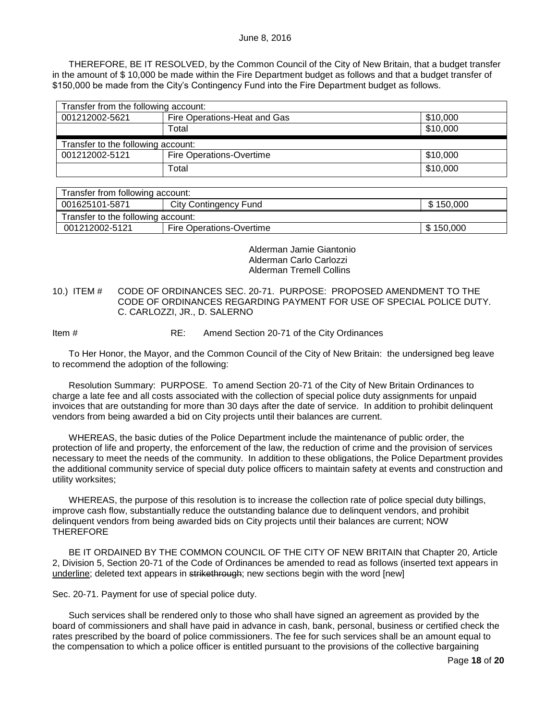THEREFORE, BE IT RESOLVED, by the Common Council of the City of New Britain, that a budget transfer in the amount of \$ 10,000 be made within the Fire Department budget as follows and that a budget transfer of \$150,000 be made from the City's Contingency Fund into the Fire Department budget as follows.

| Transfer from the following account: |                                          |          |  |
|--------------------------------------|------------------------------------------|----------|--|
| 001212002-5621                       | Fire Operations-Heat and Gas<br>\$10,000 |          |  |
|                                      | Total                                    | \$10,000 |  |
| Transfer to the following account:   |                                          |          |  |
| 001212002-5121                       | Fire Operations-Overtime                 | \$10,000 |  |
|                                      | Total                                    | \$10,000 |  |

| Transfer from following account:                     |                          |                       |  |
|------------------------------------------------------|--------------------------|-----------------------|--|
| 001625101-5871<br>\$150,000<br>City Contingency Fund |                          |                       |  |
| Transfer to the following account:                   |                          |                       |  |
| 001212002-5121                                       | Fire Operations-Overtime | $\frac{1}{2}$ 150,000 |  |

Alderman Jamie Giantonio Alderman Carlo Carlozzi Alderman Tremell Collins

## <span id="page-17-0"></span>10.) ITEM # CODE OF ORDINANCES SEC. 20-71. PURPOSE: PROPOSED AMENDMENT TO THE CODE OF ORDINANCES REGARDING PAYMENT FOR USE OF SPECIAL POLICE DUTY. C. CARLOZZI, JR., D. SALERNO

Item # RE: Amend Section 20-71 of the City Ordinances

To Her Honor, the Mayor, and the Common Council of the City of New Britain: the undersigned beg leave to recommend the adoption of the following:

Resolution Summary: PURPOSE. To amend Section 20-71 of the City of New Britain Ordinances to charge a late fee and all costs associated with the collection of special police duty assignments for unpaid invoices that are outstanding for more than 30 days after the date of service. In addition to prohibit delinquent vendors from being awarded a bid on City projects until their balances are current.

WHEREAS, the basic duties of the Police Department include the maintenance of public order, the protection of life and property, the enforcement of the law, the reduction of crime and the provision of services necessary to meet the needs of the community. In addition to these obligations, the Police Department provides the additional community service of special duty police officers to maintain safety at events and construction and utility worksites;

WHEREAS, the purpose of this resolution is to increase the collection rate of police special duty billings, improve cash flow, substantially reduce the outstanding balance due to delinquent vendors, and prohibit delinquent vendors from being awarded bids on City projects until their balances are current; NOW **THEREFORE** 

BE IT ORDAINED BY THE COMMON COUNCIL OF THE CITY OF NEW BRITAIN that Chapter 20, Article 2, Division 5, Section 20-71 of the Code of Ordinances be amended to read as follows (inserted text appears in underline; deleted text appears in strikethrough; new sections begin with the word [new]

Sec. 20-71. Payment for use of special police duty.

Such services shall be rendered only to those who shall have signed an agreement as provided by the board of commissioners and shall have paid in advance in cash, bank, personal, business or certified check the rates prescribed by the board of police commissioners. The fee for such services shall be an amount equal to the compensation to which a police officer is entitled pursuant to the provisions of the collective bargaining

Page **18** of **20**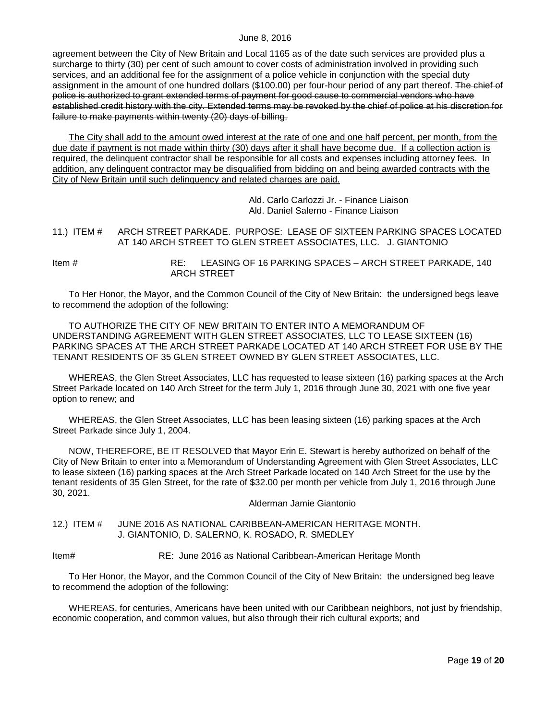agreement between the City of New Britain and Local 1165 as of the date such services are provided plus a surcharge to thirty (30) per cent of such amount to cover costs of administration involved in providing such services, and an additional fee for the assignment of a police vehicle in conjunction with the special duty assignment in the amount of one hundred dollars (\$100.00) per four-hour period of any part thereof. The chief of police is authorized to grant extended terms of payment for good cause to commercial vendors who have established credit history with the city. Extended terms may be revoked by the chief of police at his discretion for failure to make payments within twenty (20) days of billing.

The City shall add to the amount owed interest at the rate of one and one half percent, per month, from the due date if payment is not made within thirty (30) days after it shall have become due. If a collection action is required, the delinquent contractor shall be responsible for all costs and expenses including attorney fees. In addition, any delinquent contractor may be disqualified from bidding on and being awarded contracts with the City of New Britain until such delinquency and related charges are paid.

> Ald. Carlo Carlozzi Jr. - Finance Liaison Ald. Daniel Salerno - Finance Liaison

<span id="page-18-0"></span>11.) ITEM # ARCH STREET PARKADE. PURPOSE: LEASE OF SIXTEEN PARKING SPACES LOCATED AT 140 ARCH STREET TO GLEN STREET ASSOCIATES, LLC. J. GIANTONIO

Item # RE: LEASING OF 16 PARKING SPACES – ARCH STREET PARKADE, 140 ARCH STREET

To Her Honor, the Mayor, and the Common Council of the City of New Britain: the undersigned begs leave to recommend the adoption of the following:

TO AUTHORIZE THE CITY OF NEW BRITAIN TO ENTER INTO A MEMORANDUM OF UNDERSTANDING AGREEMENT WITH GLEN STREET ASSOCIATES, LLC TO LEASE SIXTEEN (16) PARKING SPACES AT THE ARCH STREET PARKADE LOCATED AT 140 ARCH STREET FOR USE BY THE TENANT RESIDENTS OF 35 GLEN STREET OWNED BY GLEN STREET ASSOCIATES, LLC.

WHEREAS, the Glen Street Associates, LLC has requested to lease sixteen (16) parking spaces at the Arch Street Parkade located on 140 Arch Street for the term July 1, 2016 through June 30, 2021 with one five year option to renew; and

WHEREAS, the Glen Street Associates, LLC has been leasing sixteen (16) parking spaces at the Arch Street Parkade since July 1, 2004.

NOW, THEREFORE, BE IT RESOLVED that Mayor Erin E. Stewart is hereby authorized on behalf of the City of New Britain to enter into a Memorandum of Understanding Agreement with Glen Street Associates, LLC to lease sixteen (16) parking spaces at the Arch Street Parkade located on 140 Arch Street for the use by the tenant residents of 35 Glen Street, for the rate of \$32.00 per month per vehicle from July 1, 2016 through June 30, 2021.

Alderman Jamie Giantonio

<span id="page-18-1"></span>12.) ITEM # JUNE 2016 AS NATIONAL CARIBBEAN-AMERICAN HERITAGE MONTH. J. GIANTONIO, D. SALERNO, K. ROSADO, R. SMEDLEY

Item# RE: June 2016 as National Caribbean-American Heritage Month

To Her Honor, the Mayor, and the Common Council of the City of New Britain: the undersigned beg leave to recommend the adoption of the following:

WHEREAS, for centuries, Americans have been united with our Caribbean neighbors, not just by friendship, economic cooperation, and common values, but also through their rich cultural exports; and